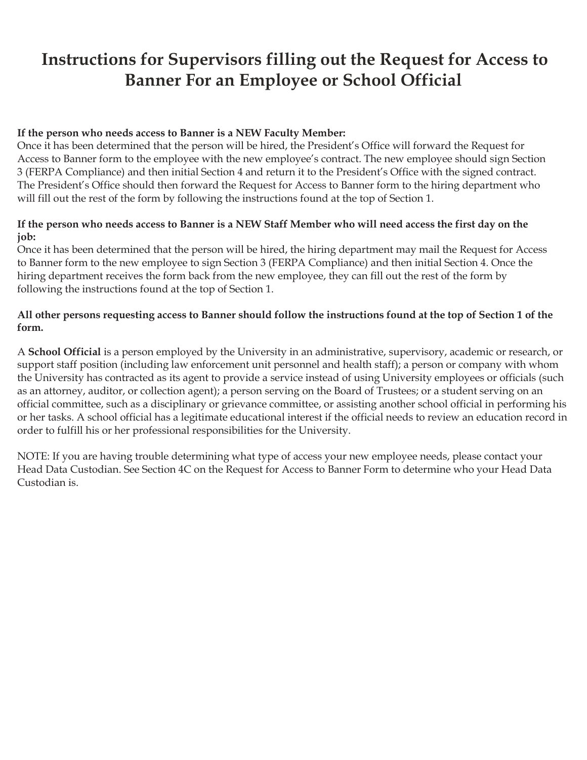## **Instructions for Supervisors filling out the Request for Access to Banner For an Employee or School Official**

### **If the person who needs access to Banner is a NEW Faculty Member:**

Once it has been determined that the person will be hired, the President's Office will forward the Request for Access to Banner form to the employee with the new employee's contract. The new employee should sign Section 3 (FERPA Compliance) and then initial Section 4 and return it to the President's Office with the signed contract. The President's Office should then forward the Request for Access to Banner form to the hiring department who will fill out the rest of the form by following the instructions found at the top of Section 1.

## **If the person who needs access to Banner is a NEW Staff Member who will need access the first day on the job:**

Once it has been determined that the person will be hired, the hiring department may mail the Request for Access to Banner form to the new employee to sign Section 3 (FERPA Compliance) and then initial Section 4. Once the hiring department receives the form back from the new employee, they can fill out the rest of the form by following the instructions found at the top of Section 1.

## **All other persons requesting access to Banner should follow the instructions found at the top of Section 1 of the form.**

A **School Official** is a person employed by the University in an administrative, supervisory, academic or research, or support staff position (including law enforcement unit personnel and health staff); a person or company with whom the University has contracted as its agent to provide a service instead of using University employees or officials (such as an attorney, auditor, or collection agent); a person serving on the Board of Trustees; or a student serving on an official committee, such as a disciplinary or grievance committee, or assisting another school official in performing his or her tasks. A school official has a legitimate educational interest if the official needs to review an education record in order to fulfill his or her professional responsibilities for the University.

NOTE: If you are having trouble determining what type of access your new employee needs, please contact your Head Data Custodian. See Section 4C on the Request for Access to Banner Form to determine who your Head Data Custodian is.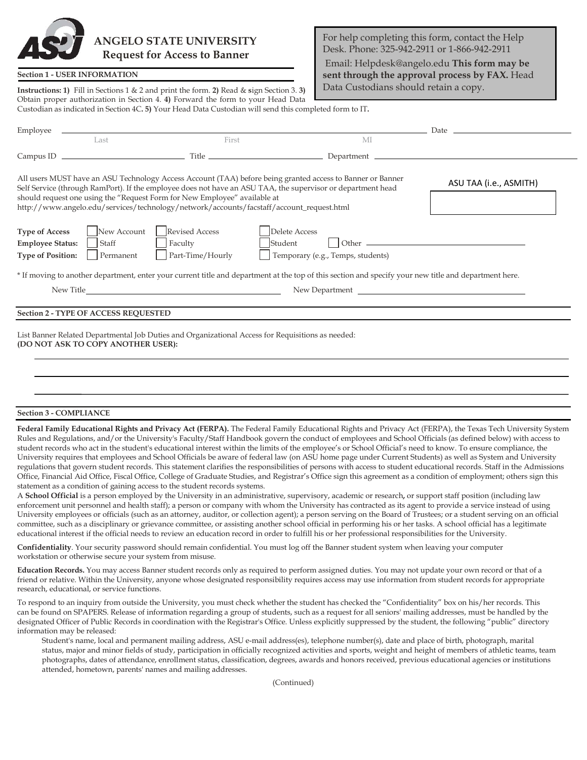# **ANGELO STATE UNIVERSITY Request for Access to Banner**

#### **Section 1 - USER INFORMATION**

For help completing this form, contact the Help Desk. Phone: 325-942-2911 or 1-866-942-2911 Email: Helpdesk@angelo.edu **This form may be sent through the approval process by FAX.** Head Data Custodians should retain a copy.

**Instructions: 1)** Fill in Sections 1 & 2 and print the form. **2)** Read & **s**ign Section 3. **3)** Obtain proper authorization in Section 4. **4)** Forward the form to your Head Data Custodian as indicated in Section 4C**. 5)** Your Head Data Custodian will send this completed form to IT**.** 

| Employee                                                                                                          |                                                                                                                                                                                                                                                                                                                                                                                                    |                                                    |                        |
|-------------------------------------------------------------------------------------------------------------------|----------------------------------------------------------------------------------------------------------------------------------------------------------------------------------------------------------------------------------------------------------------------------------------------------------------------------------------------------------------------------------------------------|----------------------------------------------------|------------------------|
| Last                                                                                                              | First                                                                                                                                                                                                                                                                                                                                                                                              | M                                                  |                        |
|                                                                                                                   |                                                                                                                                                                                                                                                                                                                                                                                                    |                                                    |                        |
|                                                                                                                   | All users MUST have an ASU Technology Access Account (TAA) before being granted access to Banner or Banner<br>Self Service (through RamPort). If the employee does not have an ASU TAA, the supervisor or department head<br>should request one using the "Request Form for New Employee" available at<br>http://www.angelo.edu/services/technology/network/accounts/facstaff/account_request.html |                                                    | ASU TAA (i.e., ASMITH) |
| New Account<br><b>Type of Access</b><br><b>Employee Status:</b><br>Staff<br><b>Type of Position:</b><br>Permanent | <b>Revised Access</b><br>Faculty<br>Student<br>Part-Time/Hourly<br>* If moving to another department, enter your current title and department at the top of this section and specify your new title and department here.                                                                                                                                                                           | Delete Access<br>Temporary (e.g., Temps, students) |                        |
| New Title                                                                                                         |                                                                                                                                                                                                                                                                                                                                                                                                    | New Department                                     |                        |
| <b>Section 2 - TYPE OF ACCESS REQUESTED</b>                                                                       |                                                                                                                                                                                                                                                                                                                                                                                                    |                                                    |                        |
| (DO NOT ASK TO COPY ANOTHER USER):                                                                                | List Banner Related Departmental Job Duties and Organizational Access for Requisitions as needed:                                                                                                                                                                                                                                                                                                  |                                                    |                        |

#### **Section 3 - COMPLIANCE**

**Federal Family Educational Rights and Privacy Act (FERPA).** The Federal Family Educational Rights and Privacy Act (FERPA), the Texas Tech University System Rules and Regulations, and/or the University's Faculty/Staff Handbook govern the conduct of employees and School Officials (as defined below) with access to student records who act in the student's educational interest within the limits of the employee's or School Official's need to know. To ensure compliance, the University requires that employees and School Officials be aware of federal law (on ASU home page under Current Students) as well as System and University regulations that govern student records. This statement clarifies the responsibilities of persons with access to student educational records. Staff in the Admissions Office, Financial Aid Office, Fiscal Office, College of Graduate Studies, and Registrar's Office sign this agreement as a condition of employment; others sign this statement as a condition of gaining access to the student records systems.

A **School Official** is a person employed by the University in an administrative, supervisory, academic or research**,** or support staff position (including law enforcement unit personnel and health staff); a person or company with whom the University has contracted as its agent to provide a service instead of using University employees or officials (such as an attorney, auditor, or collection agent); a person serving on the Board of Trustees; or a student serving on an official committee, such as a disciplinary or grievance committee, or assisting another school official in performing his or her tasks. A school official has a legitimate educational interest if the official needs to review an education record in order to fulfill his or her professional responsibilities for the University.

**Confidentiality**. Your security password should remain confidential. You must log off the Banner student system when leaving your computer workstation or otherwise secure your system from misuse.

**Education Records.** You may access Banner student records only as required to perform assigned duties. You may not update your own record or that of a friend or relative. Within the University, anyone whose designated responsibility requires access may use information from student records for appropriate research, educational, or service functions.

To respond to an inquiry from outside the University, you must check whether the student has checked the "Confidentiality" box on his/her records. This can be found on SPAPERS. Release of information regarding a group of students, such as a request for all seniors' mailing addresses, must be handled by the designated Officer of Public Records in coordination with the Registrar's Office. Unless explicitly suppressed by the student, the following "public" directory information may be released:

Student's name, local and permanent mailing address, ASU e-mail address(es), telephone number(s), date and place of birth, photograph, marital status, major and minor fields of study, participation in officially recognized activities and sports, weight and height of members of athletic teams, team photographs, dates of attendance, enrollment status, classification, degrees, awards and honors received, previous educational agencies or institutions attended, hometown, parents' names and mailing addresses.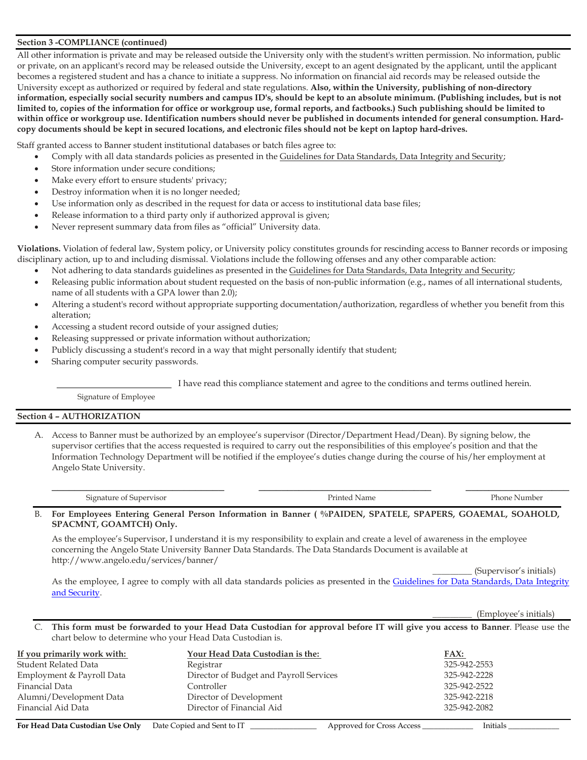#### **Section 3 -COMPLIANCE (continued)**

All other information is private and may be released outside the University only with the student's written permission. No information, public or private, on an applicant's record may be released outside the University, except to an agent designated by the applicant, until the applicant becomes a registered student and has a chance to initiate a suppress. No information on financial aid records may be released outside the University except as authorized or required by federal and state regulations. **Also, within the University, publishing of non-directory information, especially social security numbers and campus ID's, should be kept to an absolute minimum. (Publishing includes, but is not limited to, copies of the information for office or workgroup use, formal reports, and factbooks.) Such publishing should be limited to within office or workgroup use. Identification numbers should never be published in documents intended for general consumption. Hardcopy documents should be kept in secured locations, and electronic files should not be kept on laptop hard-drives.** 

Staff granted access to Banner student institutional databases or batch files agree to:

- Comply with all data standards policies as presented in the Guidelines for Data Standards, Data Integrity and Security;
- Store information under secure conditions;
- Make every effort to ensure students' privacy;
- Destroy information when it is no longer needed;
- Use information only as described in the request for data or access to institutional data base files;
- Release information to a third party only if authorized approval is given;
- Never represent summary data from files as "official" University data.

**Violations.** Violation of federal law, System policy, or University policy constitutes grounds for rescinding access to Banner records or imposing disciplinary action, up to and including dismissal. Violations include the following offenses and any other comparable action:

- Not adhering to data standards guidelines as presented in the Guidelines for Data Standards, Data Integrity and Security;
- Releasing public information about student requested on the basis of non-public information (e.g., names of all international students, name of all students with a GPA lower than 2.0);
- Altering a student's record without appropriate supporting documentation/authorization, regardless of whether you benefit from this alteration;
- Accessing a student record outside of your assigned duties;
- Releasing suppressed or private information without authorization;
- Publicly discussing a student's record in a way that might personally identify that student;
- Sharing computer security passwords.

I have read this compliance statement and agree to the conditions and terms outlined herein.

Signature of Employee

#### **Section 4 – AUTHORIZATION**

A. Access to Banner must be authorized by an employee's supervisor (Director/Department Head/Dean). By signing below, the supervisor certifies that the access requested is required to carry out the responsibilities of this employee's position and that the Information Technology Department will be notified if the employee's duties change during the course of his/her employment at Angelo State University.

| $\sim$ |  |
|--------|--|

B. **For Employees Entering General Person Information in Banner ( %PAIDEN, SPATELE, SPAPERS, GOAEMAL, SOAHOLD, SPACMNT, GOAMTCH) Only.** 

As the employee's Supervisor, I understand it is my responsibility to explain and create a level of awareness in the employee concerning the Angelo State University Banner Data Standards. The Data Standards Document is available at http://www.angelo.edu/services/banner/

\_\_\_\_\_\_\_\_\_ (Supervisor's initials)

As the employee, I agree to comply with all data standards policies as presented in the Guidelines for Data Standards, Data Integrity [and Security.](https://www.angelo.edu/content/files/24778-data-standards-document)

\_\_\_\_\_\_\_\_\_ (Employee's initials)

C. **This form must be forwarded to your Head Data Custodian for approval before IT will give you access to Banner**. Please use the chart below to determine who your Head Data Custodian is.

| If you primarily work with: | Your Head Data Custodian is the:        | <u>FAX:</u>  |
|-----------------------------|-----------------------------------------|--------------|
| Student Related Data        | Registrar                               | 325-942-2553 |
| Employment & Payroll Data   | Director of Budget and Payroll Services | 325-942-2228 |
| Financial Data              | Controller                              | 325-942-2522 |
| Alumni/Development Data     | Director of Development                 | 325-942-2218 |
| Financial Aid Data          | Director of Financial Aid               | 325-942-2082 |

**For Head Data Custodian Use Only** Date Copied and Sent to IT **Approved for Cross Access Example 2016** 1. Initials